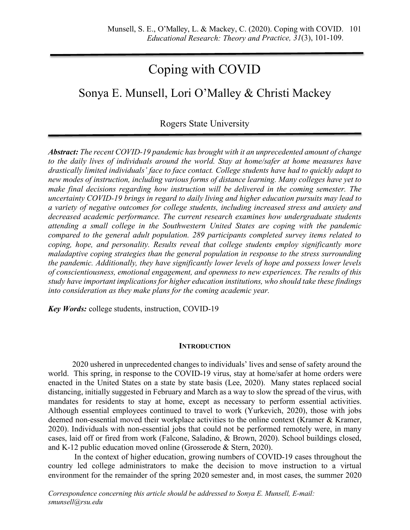# Coping with COVID

## Sonya E. Munsell, Lori O'Malley & Christi Mackey

### Rogers State University

*Abstract: The recent COVID-19 pandemic has brought with it an unprecedented amount of change to the daily lives of individuals around the world. Stay at home/safer at home measures have drastically limited individuals' face to face contact. College students have had to quickly adapt to new modes of instruction, including various forms of distance learning. Many colleges have yet to make final decisions regarding how instruction will be delivered in the coming semester. The uncertainty COVID-19 brings in regard to daily living and higher education pursuits may lead to a variety of negative outcomes for college students, including increased stress and anxiety and decreased academic performance. The current research examines how undergraduate students attending a small college in the Southwestern United States are coping with the pandemic compared to the general adult population. 289 participants completed survey items related to coping, hope, and personality. Results reveal that college students employ significantly more maladaptive coping strategies than the general population in response to the stress surrounding the pandemic. Additionally, they have significantly lower levels of hope and possess lower levels of conscientiousness, emotional engagement, and openness to new experiences. The results of this study have important implications for higher education institutions, who should take these findings into consideration as they make plans for the coming academic year.*

*Key Words:* college students, instruction, COVID-19

#### **INTRODUCTION**

2020 ushered in unprecedented changes to individuals' lives and sense of safety around the world. This spring, in response to the COVID-19 virus, stay at home/safer at home orders were enacted in the United States on a state by state basis (Lee, 2020). Many states replaced social distancing, initially suggested in February and March as a way to slow the spread of the virus, with mandates for residents to stay at home, except as necessary to perform essential activities. Although essential employees continued to travel to work (Yurkevich, 2020), those with jobs deemed non-essential moved their workplace activities to the online context (Kramer & Kramer, 2020). Individuals with non-essential jobs that could not be performed remotely were, in many cases, laid off or fired from work (Falcone, Saladino, & Brown, 2020). School buildings closed, and K-12 public education moved online (Grosserode & Stern, 2020).

In the context of higher education, growing numbers of COVID-19 cases throughout the country led college administrators to make the decision to move instruction to a virtual environment for the remainder of the spring 2020 semester and, in most cases, the summer 2020

*Correspondence concerning this article should be addressed to Sonya E. Munsell, E-mail: smunsell@rsu.edu*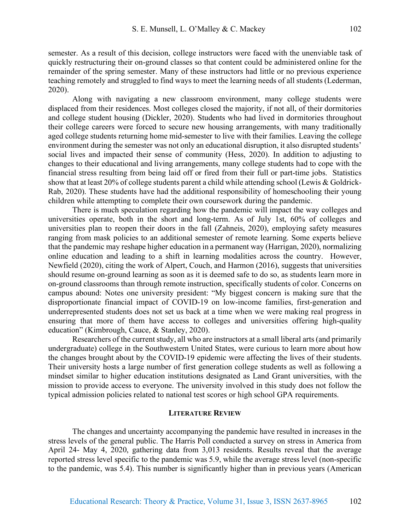semester. As a result of this decision, college instructors were faced with the unenviable task of quickly restructuring their on-ground classes so that content could be administered online for the remainder of the spring semester. Many of these instructors had little or no previous experience teaching remotely and struggled to find ways to meet the learning needs of all students (Lederman, 2020).

Along with navigating a new classroom environment, many college students were displaced from their residences. Most colleges closed the majority, if not all, of their dormitories and college student housing (Dickler, 2020). Students who had lived in dormitories throughout their college careers were forced to secure new housing arrangements, with many traditionally aged college students returning home mid-semester to live with their families. Leaving the college environment during the semester was not only an educational disruption, it also disrupted students' social lives and impacted their sense of community (Hess, 2020). In addition to adjusting to changes to their educational and living arrangements, many college students had to cope with the financial stress resulting from being laid off or fired from their full or part-time jobs. Statistics show that at least 20% of college students parent a child while attending school (Lewis & Goldrick-Rab, 2020). These students have had the additional responsibility of homeschooling their young children while attempting to complete their own coursework during the pandemic.

There is much speculation regarding how the pandemic will impact the way colleges and universities operate, both in the short and long-term. As of July 1st, 60% of colleges and universities plan to reopen their doors in the fall (Zahneis, 2020), employing safety measures ranging from mask policies to an additional semester of remote learning. Some experts believe that the pandemic may reshape higher education in a permanent way (Harrigan, 2020), normalizing online education and leading to a shift in learning modalities across the country. However, Newfield (2020), citing the work of Alpert, Couch, and Harmon (2016), suggests that universities should resume on-ground learning as soon as it is deemed safe to do so, as students learn more in on-ground classrooms than through remote instruction, specifically students of color. Concerns on campus abound: Notes one university president: "My biggest concern is making sure that the disproportionate financial impact of COVID-19 on low-income families, first-generation and underrepresented students does not set us back at a time when we were making real progress in ensuring that more of them have access to colleges and universities offering high-quality education" (Kimbrough, Cauce, & Stanley, 2020).

Researchers of the current study, all who are instructors at a small liberal arts (and primarily undergraduate) college in the Southwestern United States, were curious to learn more about how the changes brought about by the COVID-19 epidemic were affecting the lives of their students. Their university hosts a large number of first generation college students as well as following a mindset similar to higher education institutions designated as Land Grant universities, with the mission to provide access to everyone. The university involved in this study does not follow the typical admission policies related to national test scores or high school GPA requirements.

#### **LITERATURE REVIEW**

The changes and uncertainty accompanying the pandemic have resulted in increases in the stress levels of the general public. The Harris Poll conducted a survey on stress in America from April 24- May 4, 2020, gathering data from 3,013 residents. Results reveal that the average reported stress level specific to the pandemic was 5.9, while the average stress level (non-specific to the pandemic, was 5.4). This number is significantly higher than in previous years (American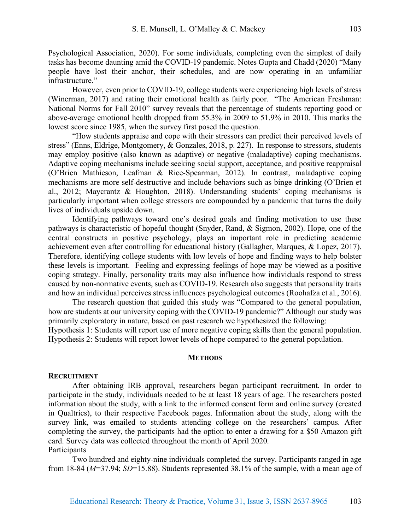Psychological Association, 2020). For some individuals, completing even the simplest of daily tasks has become daunting amid the COVID-19 pandemic. Notes Gupta and Chadd (2020) "Many people have lost their anchor, their schedules, and are now operating in an unfamiliar infrastructure."

However, even prior to COVID-19, college students were experiencing high levels of stress (Winerman, 2017) and rating their emotional health as fairly poor. "The American Freshman: National Norms for Fall 2010" survey reveals that the percentage of students reporting good or above-average emotional health dropped from 55.3% in 2009 to 51.9% in 2010. This marks the lowest score since 1985, when the survey first posed the question.

"How students appraise and cope with their stressors can predict their perceived levels of stress" (Enns, Eldrige, Montgomery, & Gonzales, 2018, p. 227). In response to stressors, students may employ positive (also known as adaptive) or negative (maladaptive) coping mechanisms. Adaptive coping mechanisms include seeking social support, acceptance, and positive reappraisal (O'Brien Mathieson, Leafman & Rice-Spearman, 2012). In contrast, maladaptive coping mechanisms are more self-destructive and include behaviors such as binge drinking (O'Brien et al., 2012; Maycrantz & Houghton, 2018). Understanding students' coping mechanisms is particularly important when college stressors are compounded by a pandemic that turns the daily lives of individuals upside down.

Identifying pathways toward one's desired goals and finding motivation to use these pathways is characteristic of hopeful thought (Snyder, Rand, & Sigmon, 2002). Hope, one of the central constructs in positive psychology, plays an important role in predicting academic achievement even after controlling for educational history (Gallagher, Marques, & Lopez, 2017). Therefore, identifying college students with low levels of hope and finding ways to help bolster these levels is important. Feeling and expressing feelings of hope may be viewed as a positive coping strategy. Finally, personality traits may also influence how individuals respond to stress caused by non-normative events, such as COVID-19. Research also suggests that personality traits and how an individual perceives stress influences psychological outcomes (Roohafza et al., 2016).

The research question that guided this study was "Compared to the general population, how are students at our university coping with the COVID-19 pandemic?" Although our study was primarily exploratory in nature, based on past research we hypothesized the following: Hypothesis 1: Students will report use of more negative coping skills than the general population. Hypothesis 2: Students will report lower levels of hope compared to the general population.

#### **METHODS**

#### **RECRUITMENT**

After obtaining IRB approval, researchers began participant recruitment. In order to participate in the study, individuals needed to be at least 18 years of age. The researchers posted information about the study, with a link to the informed consent form and online survey (created in Qualtrics), to their respective Facebook pages. Information about the study, along with the survey link, was emailed to students attending college on the researchers' campus. After completing the survey, the participants had the option to enter a drawing for a \$50 Amazon gift card. Survey data was collected throughout the month of April 2020. **Participants** 

Two hundred and eighty-nine individuals completed the survey. Participants ranged in age from 18-84 (*M*=37.94; *SD*=15.88). Students represented 38.1% of the sample, with a mean age of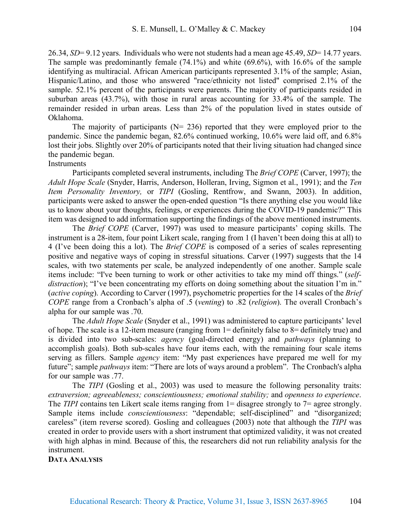26.34, *SD*= 9.12 years. Individuals who were not students had a mean age 45.49, *SD*= 14.77 years. The sample was predominantly female (74.1%) and white (69.6%), with 16.6% of the sample identifying as multiracial. African American participants represented 3.1% of the sample; Asian, Hispanic/Latino, and those who answered "race/ethnicity not listed" comprised 2.1% of the sample. 52.1% percent of the participants were parents. The majority of participants resided in suburban areas (43.7%), with those in rural areas accounting for 33.4% of the sample. The remainder resided in urban areas. Less than 2% of the population lived in states outside of Oklahoma.

The majority of participants ( $N = 236$ ) reported that they were employed prior to the pandemic. Since the pandemic began, 82.6% continued working, 10.6% were laid off, and 6.8% lost their jobs. Slightly over 20% of participants noted that their living situation had changed since the pandemic began.

#### Instruments

Participants completed several instruments, including The *Brief COPE* (Carver, 1997); the *Adult Hope Scale* (Snyder, Harris, Anderson, Holleran, Irving, Sigmon et al., 1991); and the *Ten Item Personality Inventory,* or *TIPI* (Gosling, Rentfrow, and Swann, 2003). In addition, participants were asked to answer the open-ended question "Is there anything else you would like us to know about your thoughts, feelings, or experiences during the COVID-19 pandemic?" This item was designed to add information supporting the findings of the above mentioned instruments.

The *Brief COPE* (Carver, 1997) was used to measure participants' coping skills. The instrument is a 28-item, four point Likert scale, ranging from 1 (I haven't been doing this at all) to 4 (I've been doing this a lot). The *Brief COPE* is composed of a series of scales representing positive and negative ways of coping in stressful situations. Carver (1997) suggests that the 14 scales, with two statements per scale, be analyzed independently of one another. Sample scale items include: "I've been turning to work or other activities to take my mind off things." (*selfdistraction*); "I've been concentrating my efforts on doing something about the situation I'm in." (*active coping*). According to Carver (1997), psychometric properties for the 14 scales of the *Brief COPE* range from a Cronbach's alpha of .5 (*venting*) to .82 (*religion*). The overall Cronbach's alpha for our sample was .70.

The *Adult Hope Scale* (Snyder et al., 1991) was administered to capture participants' level of hope. The scale is a 12-item measure (ranging from 1= definitely false to 8= definitely true) and is divided into two sub-scales: *agency* (goal-directed energy) and *pathways* (planning to accomplish goals). Both sub-scales have four items each, with the remaining four scale items serving as fillers. Sample *agency* item: "My past experiences have prepared me well for my future"; sample *pathways* item: "There are lots of ways around a problem". The Cronbach's alpha for our sample was .77.

The *TIPI* (Gosling et al., 2003) was used to measure the following personality traits: *extraversion; agreeableness; conscientiousness; emotional stability;* and *openness to experience*. The *TIPI* contains ten Likert scale items ranging from 1= disagree strongly to 7= agree strongly. Sample items include *conscientiousness*: "dependable; self-disciplined" and "disorganized; careless" (item reverse scored). Gosling and colleagues (2003) note that although the *TIPI* was created in order to provide users with a short instrument that optimized validity, it was not created with high alphas in mind. Because of this, the researchers did not run reliability analysis for the instrument.

**DATA ANALYSIS**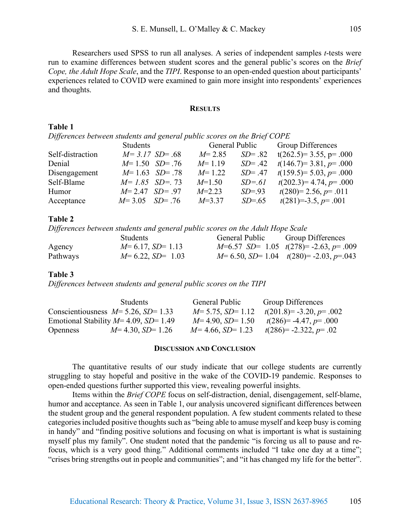Researchers used SPSS to run all analyses. A series of independent samples *t*-tests were run to examine differences between student scores and the general public's scores on the *Brief Cope, the Adult Hope Scale*, and the *TIPI*. Response to an open-ended question about participants' experiences related to COVID were examined to gain more insight into respondents' experiences and thoughts.

#### **RESULTS**

#### **Table 1**

*Differences between students and general public scores on the Brief COPE*

|                  | Students           | General Public |            | <b>Group Differences</b> |
|------------------|--------------------|----------------|------------|--------------------------|
| Self-distraction | $M = 3.17$ SD= .68 | $M = 2.85$     | $SD = .82$ | $t(262.5)=3.55, p=.000$  |
| Denial           | $M=1.50$ $SD=.76$  | $M=1.19$       | $SD = .42$ | $t(146.7)=3.81, p=.000$  |
| Disengagement    | $M=1.63$ SD= .78   | $M=1.22$       | $SD = .47$ | $t(159.5)=5.03, p=.000$  |
| Self-Blame       | $M=1.85$ SD= 73    | $M=1.50$       | $SD = 61$  | $t(202.3)=4.74, p=.000$  |
| Humor            | $M=2.47$ SD = 97   | $M=2.23$       | $SD = .93$ | $t(280)=2.56, p=.011$    |
| Acceptance       | $M=3.05$ $SD= .76$ | $M=3.37$       | $SD=.65$   | $t(281)=-3.5, p=.001$    |

#### **Table 2**

*Differences between students and general public scores on the Adult Hope Scale*

|          | <b>Students</b>      | General Public | <b>Group Differences</b>                    |
|----------|----------------------|----------------|---------------------------------------------|
| Agency   | $M=6.17$ , $SD=1.13$ |                | $M=6.57$ SD= 1.05 $t(278)=-2.63$ , $p=.009$ |
| Pathways | $M=6.22, SD=1.03$    |                | $M=6.50, SD=1.04$ $t(280)=-2.03, p=.043$    |

#### **Table 3**

*Differences between students and general public scores on the TIPI*

|                 | <b>Students</b>                          | General Public       | Group Differences         |
|-----------------|------------------------------------------|----------------------|---------------------------|
|                 | Conscientiousness $M=5.26$ , $SD=1.33$   | $M=5.75$ , $SD=1.12$ | $t(201.8)= -3.20, p=.002$ |
|                 | Emotional Stability $M=4.09$ , $SD=1.49$ | $M=4.90, SD=1.50$    | $t(286)= -4.47, p= .000$  |
| <b>Openness</b> | $M=4.30, SD=1.26$                        | $M=4.66$ , $SD=1.23$ | $t(286)= -2.322, p=.02$   |

#### **DISCUSSION AND CONCLUSION**

The quantitative results of our study indicate that our college students are currently struggling to stay hopeful and positive in the wake of the COVID-19 pandemic. Responses to open-ended questions further supported this view, revealing powerful insights.

Items within the *Brief COPE* focus on self-distraction, denial, disengagement, self-blame, humor and acceptance. As seen in Table 1, our analysis uncovered significant differences between the student group and the general respondent population. A few student comments related to these categories included positive thoughts such as "being able to amuse myself and keep busy is coming in handy" and "finding positive solutions and focusing on what is important is what is sustaining myself plus my family". One student noted that the pandemic "is forcing us all to pause and refocus, which is a very good thing." Additional comments included "I take one day at a time"; "crises bring strengths out in people and communities"; and "it has changed my life for the better".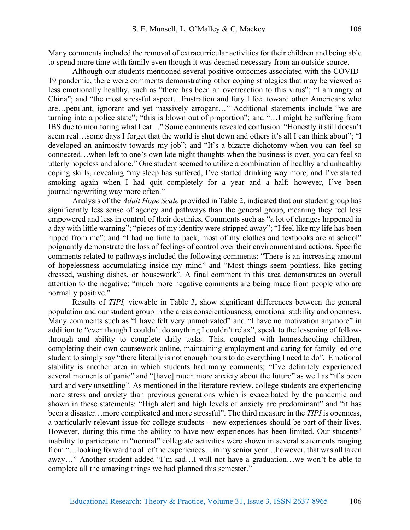Many comments included the removal of extracurricular activities for their children and being able to spend more time with family even though it was deemed necessary from an outside source.

Although our students mentioned several positive outcomes associated with the COVID-19 pandemic, there were comments demonstrating other coping strategies that may be viewed as less emotionally healthy, such as "there has been an overreaction to this virus"; "I am angry at China"; and "the most stressful aspect…frustration and fury I feel toward other Americans who are…petulant, ignorant and yet massively arrogant…" Additional statements include "we are turning into a police state"; "this is blown out of proportion"; and "…I might be suffering from IBS due to monitoring what I eat…" Some comments revealed confusion: "Honestly it still doesn't seem real…some days I forget that the world is shut down and others it's all I can think about"; "I developed an animosity towards my job"; and "It's a bizarre dichotomy when you can feel so connected…when left to one's own late-night thoughts when the business is over, you can feel so utterly hopeless and alone." One student seemed to utilize a combination of healthy and unhealthy coping skills, revealing "my sleep has suffered, I've started drinking way more, and I've started smoking again when I had quit completely for a year and a half; however, I've been journaling/writing way more often."

Analysis of the *Adult Hope Scale* provided in Table 2, indicated that our student group has significantly less sense of agency and pathways than the general group, meaning they feel less empowered and less in control of their destinies. Comments such as "a lot of changes happened in a day with little warning"; "pieces of my identity were stripped away"; "I feel like my life has been ripped from me"; and "I had no time to pack, most of my clothes and textbooks are at school" poignantly demonstrate the loss of feelings of control over their environment and actions. Specific comments related to pathways included the following comments: "There is an increasing amount of hopelessness accumulating inside my mind" and "Most things seem pointless, like getting dressed, washing dishes, or housework". A final comment in this area demonstrates an overall attention to the negative: "much more negative comments are being made from people who are normally positive."

Results of *TIPI,* viewable in Table 3, show significant differences between the general population and our student group in the areas conscientiousness, emotional stability and openness. Many comments such as "I have felt very unmotivated" and "I have no motivation anymore" in addition to "even though I couldn't do anything I couldn't relax", speak to the lessening of followthrough and ability to complete daily tasks. This, coupled with homeschooling children, completing their own coursework online, maintaining employment and caring for family led one student to simply say "there literally is not enough hours to do everything I need to do". Emotional stability is another area in which students had many comments; "I've definitely experienced several moments of panic" and "[have] much more anxiety about the future" as well as "it's been hard and very unsettling". As mentioned in the literature review, college students are experiencing more stress and anxiety than previous generations which is exacerbated by the pandemic and shown in these statements: "High alert and high levels of anxiety are predominant" and "it has been a disaster…more complicated and more stressful". The third measure in the *TIPI* is openness, a particularly relevant issue for college students – new experiences should be part of their lives. However, during this time the ability to have new experiences has been limited. Our students' inability to participate in "normal" collegiate activities were shown in several statements ranging from "…looking forward to all of the experiences…in my senior year…however, that was all taken away…" Another student added "I'm sad…I will not have a graduation…we won't be able to complete all the amazing things we had planned this semester."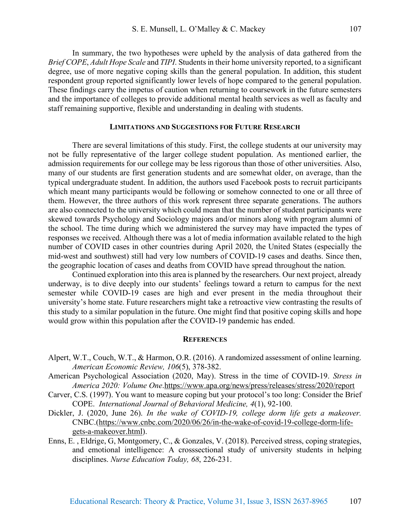In summary, the two hypotheses were upheld by the analysis of data gathered from the *Brief COPE*, *Adult Hope Scale* and *TIPI*. Students in their home university reported, to a significant degree, use of more negative coping skills than the general population. In addition, this student respondent group reported significantly lower levels of hope compared to the general population. These findings carry the impetus of caution when returning to coursework in the future semesters and the importance of colleges to provide additional mental health services as well as faculty and staff remaining supportive, flexible and understanding in dealing with students.

#### **LIMITATIONS AND SUGGESTIONS FOR FUTURE RESEARCH**

There are several limitations of this study. First, the college students at our university may not be fully representative of the larger college student population. As mentioned earlier, the admission requirements for our college may be less rigorous than those of other universities. Also, many of our students are first generation students and are somewhat older, on average, than the typical undergraduate student. In addition, the authors used Facebook posts to recruit participants which meant many participants would be following or somehow connected to one or all three of them. However, the three authors of this work represent three separate generations. The authors are also connected to the university which could mean that the number of student participants were skewed towards Psychology and Sociology majors and/or minors along with program alumni of the school. The time during which we administered the survey may have impacted the types of responses we received. Although there was a lot of media information available related to the high number of COVID cases in other countries during April 2020, the United States (especially the mid-west and southwest) still had very low numbers of COVID-19 cases and deaths. Since then, the geographic location of cases and deaths from COVID have spread throughout the nation.

Continued exploration into this area is planned by the researchers. Our next project, already underway, is to dive deeply into our students' feelings toward a return to campus for the next semester while COVID-19 cases are high and ever present in the media throughout their university's home state. Future researchers might take a retroactive view contrasting the results of this study to a similar population in the future. One might find that positive coping skills and hope would grow within this population after the COVID-19 pandemic has ended.

#### **REFERENCES**

- Alpert, W.T., Couch, W.T., & Harmon, O.R. (2016). A randomized assessment of online learning. *American Economic Review, 106*(5), 378-382.
- American Psychological Association (2020, May). Stress in the time of COVID-19. *Stress in America 2020: Volume One*.https://www.apa.org/news/press/releases/stress/2020/report
- Carver, C.S. (1997). You want to measure coping but your protocol's too long: Consider the Brief COPE. *International Journal of Behavioral Medicine, 4*(1), 92-100.
- Dickler, J. (2020, June 26). *In the wake of COVID-19, college dorm life gets a makeover.* CNBC.(https://www.cnbc.com/2020/06/26/in-the-wake-of-covid-19-college-dorm-lifegets-a-makeover.html).
- Enns, E. , Eldrige, G, Montgomery, C., & Gonzales, V. (2018). Perceived stress, coping strategies, and emotional intelligence: A crosssectional study of university students in helping disciplines. *Nurse Education Today, 68*, 226-231.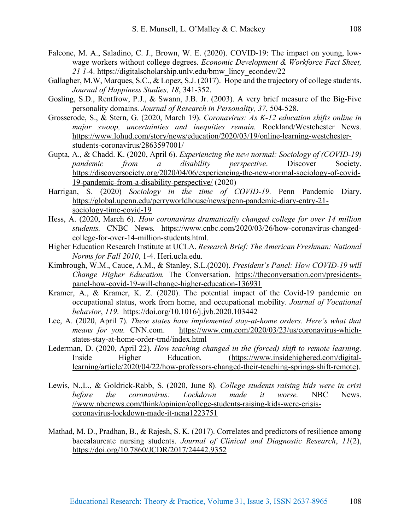- Falcone, M. A., Saladino, C. J., Brown, W. E. (2020). COVID-19: The impact on young, lowwage workers without college degrees. *Economic Development & Workforce Fact Sheet, 21 1*-4. https://digitalscholarship.unlv.edu/bmw\_lincy\_econdev/22
- Gallagher, M.W, Marques, S.C., & Lopez, S.J. (2017). Hope and the trajectory of college students. *Journal of Happiness Studies, 18*, 341-352.
- Gosling, S.D., Rentfrow, P.J., & Swann, J.B. Jr. (2003). A very brief measure of the Big-Five personality domains. *Journal of Research in Personality, 37*, 504-528.
- Grosserode, S., & Stern, G. (2020, March 19). *Coronavirus: As K-12 education shifts online in major swoop, uncertainties and inequities remain.* Rockland/Westchester News. https://www.lohud.com/story/news/education/2020/03/19/online-learning-westchesterstudents-coronavirus/2863597001/
- Gupta, A., & Chadd. K. (2020, April 6). *Experiencing the new normal: Sociology of (COVID-19) pandemic from a disability perspective*. Discover Society. https://discoversociety.org/2020/04/06/experiencing-the-new-normal-sociology-of-covid-19-pandemic-from-a-disability-perspective/ (2020)
- Harrigan, S. (2020) *Sociology in the time of COVID-19*. Penn Pandemic Diary. https://global.upenn.edu/perryworldhouse/news/penn-pandemic-diary-entry-21 sociology-time-covid-19
- Hess, A. (2020, March 6). *How coronavirus dramatically changed college for over 14 million students.* CNBC News*.* https://www.cnbc.com/2020/03/26/how-coronavirus-changedcollege-for-over-14-million-students.html.
- Higher Education Research Institute at UCLA. *Research Brief: The American Freshman: National Norms for Fall 2010*, 1-4. Heri.ucla.edu.
- Kimbrough, W.M., Cauce, A.M., & Stanley, S.L.(2020). *President's Panel: How COVID-19 will Change Higher Education.* The Conversation. https://theconversation.com/presidentspanel-how-covid-19-will-change-higher-education-136931
- Kramer, A., & Kramer, K. Z. (2020). The potential impact of the Covid-19 pandemic on occupational status, work from home, and occupational mobility. *Journal of Vocational behavior*, *119*. https://doi.org/10.1016/j.jvb.2020.103442
- Lee, A. (2020, April 7). *These states have implemented stay-at-home orders. Here's what that means for you.* CNN.com.https://www.cnn.com/2020/03/23/us/coronavirus-whichstates-stay-at-home-order-trnd/index.html
- Lederman, D. (2020, April 22). *How teaching changed in the (forced) shift to remote learning.*  Inside Higher Education*.* (https://www.insidehighered.com/digitallearning/article/2020/04/22/how-professors-changed-their-teaching-springs-shift-remote).
- Lewis, N.,L., & Goldrick-Rabb, S. (2020, June 8). *College students raising kids were in crisi before the coronavirus: Lockdown made it worse.* NBC News. //www.nbcnews.com/think/opinion/college-students-raising-kids-were-crisiscoronavirus-lockdown-made-it-ncna1223751
- Mathad, M. D., Pradhan, B., & Rajesh, S. K. (2017). Correlates and predictors of resilience among baccalaureate nursing students. *Journal of Clinical and Diagnostic Research*, *11*(2), https://doi.org/10.7860/JCDR/2017/24442.9352